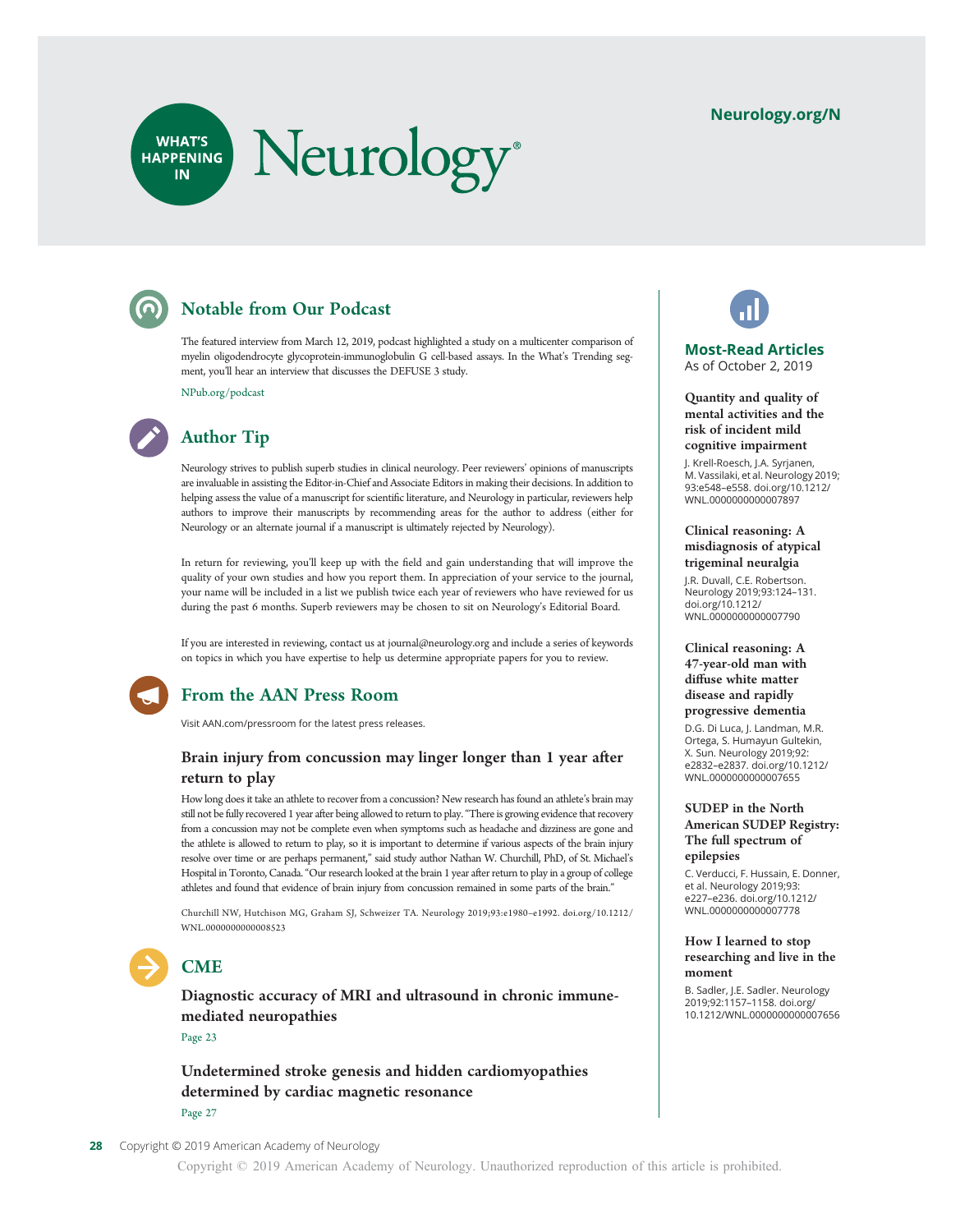### [Neurology.org/N](http://neurology.org/n)

# Neurology® WHAT'S<br>HAPPENING **IN**

# Notable from Our Podcast

The featured interview from March 12, 2019, podcast highlighted a study on a multicenter comparison of myelin oligodendrocyte glycoprotein-immunoglobulin G cell-based assays. In the What's Trending segment, you'll hear an interview that discusses the DEFUSE 3 study.

[NPub.org/podcast](http://NPub.org/podcast)



# Author Tip

Neurology strives to publish superb studies in clinical neurology. Peer reviewers' opinions of manuscripts are invaluable in assisting the Editor-in-Chief and Associate Editors in making their decisions. In addition to helping assess the value of a manuscript for scientific literature, and Neurology in particular, reviewers help authors to improve their manuscripts by recommending areas for the author to address (either for Neurology or an alternate journal if a manuscript is ultimately rejected by Neurology).

In return for reviewing, you'll keep up with the field and gain understanding that will improve the quality of your own studies and how you report them. In appreciation of your service to the journal, your name will be included in a list we publish twice each year of reviewers who have reviewed for us during the past 6 months. Superb reviewers may be chosen to sit on Neurology's Editorial Board.

If you are interested in reviewing, contact us at [journal@neurology.org](mailto:journal@neurology.org) and include a series of keywords on topics in which you have expertise to help us determine appropriate papers for you to review.



## From the AAN Press Room

Visit [AAN.com/pressroom](https://www.aan.com/AAN-Resources/Details/press-room) for the latest press releases.

#### Brain injury from concussion may linger longer than 1 year after return to play

How long does it take an athlete to recover from a concussion? New research has found an athlete's brain may still not be fully recovered 1 year after being allowed to return to play."There is growing evidence that recovery from a concussion may not be complete even when symptoms such as headache and dizziness are gone and the athlete is allowed to return to play, so it is important to determine if various aspects of the brain injury resolve over time or are perhaps permanent," said study author Nathan W. Churchill, PhD, of St. Michael's Hospital in Toronto, Canada."Our research looked at the brain 1 year after return to play in a group of college athletes and found that evidence of brain injury from concussion remained in some parts of the brain."

Churchill NW, Hutchison MG, Graham SJ, Schweizer TA. Neurology 2019;93:e1980–e1992. [doi.org/10.1212/](https://doi.org/10.1212/WNL.0000000000008523) [WNL.0000000000008523](https://doi.org/10.1212/WNL.0000000000008523)



# **CME**

Diagnostic accuracy of MRI and ultrasound in chronic immunemediated neuropathies

Page 23

Undetermined stroke genesis and hidden cardiomyopathies determined by cardiac magnetic resonance Page 27



#### Most-Read Articles As of October 2, 2019

Quantity and quality of mental activities and the risk of incident mild cognitive impairment

J. Krell-Roesch, J.A. Syrjanen, M. Vassilaki, et al. Neurology 2019; 93:e548–e558. [doi.org/10.1212/](https://n.neurology.org/lookup/doi/10.1212/WNL.0000000000007897) [WNL.0000000000007897](https://n.neurology.org/lookup/doi/10.1212/WNL.0000000000007897)

#### Clinical reasoning: A misdiagnosis of atypical trigeminal neuralgia

J.R. Duvall, C.E. Robertson. Neurology 2019;93:124–131. [doi.org/10.1212/](https://n.neurology.org/lookup/doi/10.1212/WNL.0000000000007790) [WNL.0000000000007790](https://n.neurology.org/lookup/doi/10.1212/WNL.0000000000007790)

#### Clinical reasoning: A 47-year-old man with diffuse white matter disease and rapidly progressive dementia

D.G. Di Luca, J. Landman, M.R. Ortega, S. Humayun Gultekin, X. Sun. Neurology 2019;92: e2832–e2837. [doi.org/10.1212/](https://n.neurology.org/lookup/doi/10.1212/WNL.0000000000007655) [WNL.0000000000007655](https://n.neurology.org/lookup/doi/10.1212/WNL.0000000000007655)

#### SUDEP in the North American SUDEP Registry: The full spectrum of epilepsies

C. Verducci, F. Hussain, E. Donner, et al. Neurology 2019;93: e227–e236. [doi.org/10.1212/](https://n.neurology.org/lookup/doi/10.1212/WNL.0000000000007778) [WNL.0000000000007778](https://n.neurology.org/lookup/doi/10.1212/WNL.0000000000007778)

#### How I learned to stop researching and live in the moment

B. Sadler, J.E. Sadler. Neurology 2019;92:1157–1158. [doi.org/](https://doi.org/10.1212/WNL.0000000000007656) [10.1212/WNL.0000000000007656](https://doi.org/10.1212/WNL.0000000000007656)